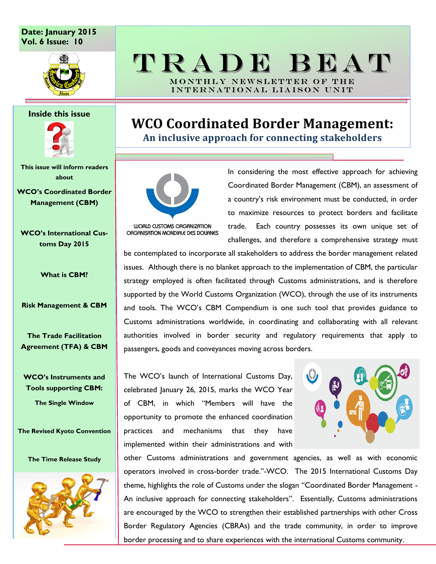### **Date: January 2015 Vol. 6 Issue: 10**



#### **Inside this issue**



**This issue will inform readers about** 

**WCO's Coordinated Border Management (CBM)**

**WCO's International Customs Day 2015**

**What is CBM?**

**Risk Management & CBM**

**The Trade Facilitation Agreement (TFA) & CBM**

**WCO's Instruments and Tools supporting CBM:**

**The Single Window**

**The Revised Kyoto Convention**

**The Time Release Study**



# T R A D E B E A T MONTHLY NEWSLETTER OF THE

INTERNATIONAL LIAISON UNIT

# **WCO Coordinated Border Management:**

**An inclusive approach for connecting stakeholders**



ORGANISATION MONDIALE DES DOUANES

In considering the most effective approach for achieving Coordinated Border Management (CBM), an assessment of a country's risk environment must be conducted, in order to maximize resources to protect borders and facilitate trade. Each country possesses its own unique set of challenges, and therefore a comprehensive strategy must

be contemplated to incorporate all stakeholders to address the border management related issues. Although there is no blanket approach to the implementation of CBM, the particular strategy employed is often facilitated through Customs administrations, and is therefore supported by the World Customs Organization (WCO), through the use of its instruments and tools. The WCO"s CBM Compendium is one such tool that provides guidance to Customs administrations worldwide, in coordinating and collaborating with all relevant authorities involved in border security and regulatory requirements that apply to passengers, goods and conveyances moving across borders.

The WCO"s launch of International Customs Day, celebrated January 26, 2015, marks the WCO Year of CBM, in which "Members will have the opportunity to promote the enhanced coordination practices and mechanisms that they have implemented within their administrations and with



other Customs administrations and government agencies, as well as with economic operators involved in cross-border trade."-WCO. The 2015 International Customs Day theme, highlights the role of Customs under the slogan "Coordinated Border Management - An inclusive approach for connecting stakeholders". Essentially, Customs administrations are encouraged by the WCO to strengthen their established partnerships with other Cross Border Regulatory Agencies (CBRAs) and the trade community, in order to improve border processing and to share experiences with the international Customs community.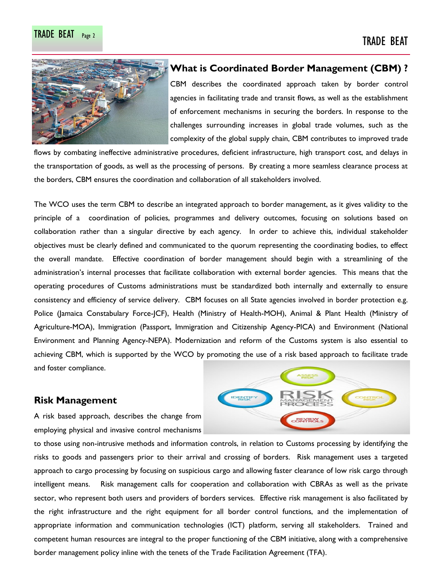

#### **What is Coordinated Border Management (CBM) ?**

CBM describes the coordinated approach taken by border control agencies in facilitating trade and transit flows, as well as the establishment of enforcement mechanisms in securing the borders. In response to the challenges surrounding increases in global trade volumes, such as the complexity of the global supply chain, CBM contributes to improved trade

flows by combating ineffective administrative procedures, deficient infrastructure, high transport cost, and delays in the transportation of goods, as well as the processing of persons. By creating a more seamless clearance process at the borders, CBM ensures the coordination and collaboration of all stakeholders involved.

The WCO uses the term CBM to describe an integrated approach to border management, as it gives validity to the principle of a coordination of policies, programmes and delivery outcomes, focusing on solutions based on collaboration rather than a singular directive by each agency. In order to achieve this, individual stakeholder objectives must be clearly defined and communicated to the quorum representing the coordinating bodies, to effect the overall mandate. Effective coordination of border management should begin with a streamlining of the administration"s internal processes that facilitate collaboration with external border agencies. This means that the operating procedures of Customs administrations must be standardized both internally and externally to ensure consistency and efficiency of service delivery. CBM focuses on all State agencies involved in border protection e.g. Police (Jamaica Constabulary Force-JCF), Health (Ministry of Health-MOH), Animal & Plant Health (Ministry of Agriculture-MOA), Immigration (Passport, Immigration and Citizenship Agency-PICA) and Environment (National Environment and Planning Agency-NEPA). Modernization and reform of the Customs system is also essential to achieving CBM, which is supported by the WCO by promoting the use of a risk based approach to facilitate trade and foster compliance.

### **Risk Management**

A risk based approach, describes the change from employing physical and invasive control mechanisms



to those using non-intrusive methods and information controls, in relation to Customs processing by identifying the risks to goods and passengers prior to their arrival and crossing of borders. Risk management uses a targeted approach to cargo processing by focusing on suspicious cargo and allowing faster clearance of low risk cargo through intelligent means. Risk management calls for cooperation and collaboration with CBRAs as well as the private sector, who represent both users and providers of borders services. Effective risk management is also facilitated by the right infrastructure and the right equipment for all border control functions, and the implementation of appropriate information and communication technologies (ICT) platform, serving all stakeholders. Trained and competent human resources are integral to the proper functioning of the CBM initiative, along with a comprehensive border management policy inline with the tenets of the Trade Facilitation Agreement (TFA).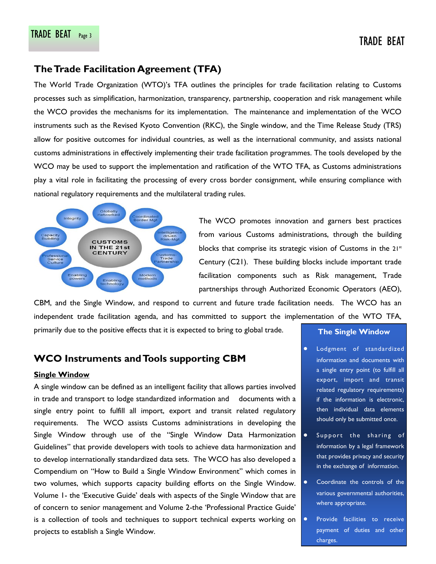## **The Trade Facilitation Agreement (TFA)**

The World Trade Organization (WTO)"s TFA outlines the principles for trade facilitation relating to Customs processes such as simplification, harmonization, transparency, partnership, cooperation and risk management while the WCO provides the mechanisms for its implementation. The maintenance and implementation of the WCO instruments such as the Revised Kyoto Convention (RKC), the Single window, and the Time Release Study (TRS) allow for positive outcomes for individual countries, as well as the international community, and assists national customs administrations in effectively implementing their trade facilitation programmes. The tools developed by the WCO may be used to support the implementation and ratification of the WTO TFA, as Customs administrations play a vital role in facilitating the processing of every cross border consignment, while ensuring compliance with national regulatory requirements and the multilateral trading rules.



The WCO promotes innovation and garners best practices from various Customs administrations, through the building blocks that comprise its strategic vision of Customs in the 21<sup>st</sup> Century (C21). These building blocks include important trade facilitation components such as Risk management, Trade partnerships through Authorized Economic Operators (AEO),

CBM, and the Single Window, and respond to current and future trade facilitation needs. The WCO has an independent trade facilitation agenda, and has committed to support the implementation of the WTO TFA, primarily due to the positive effects that it is expected to bring to global trade.

## **WCO Instruments and Tools supporting CBM**

#### **Single Window**

A single window can be defined as an intelligent facility that allows parties involved in trade and transport to lodge standardized information and documents with a single entry point to fulfill all import, export and transit related regulatory requirements. The WCO assists Customs administrations in developing the Single Window through use of the "Single Window Data Harmonization Guidelines" that provide developers with tools to achieve data harmonization and to develop internationally standardized data sets. The WCO has also developed a Compendium on "How to Build a Single Window Environment" which comes in two volumes, which supports capacity building efforts on the Single Window. Volume 1- the "Executive Guide" deals with aspects of the Single Window that are of concern to senior management and Volume 2-the "Professional Practice Guide" is a collection of tools and techniques to support technical experts working on projects to establish a Single Window.

#### **The Single Window**

- $\bullet$ Lodgment of standardized information and documents with a single entry point (to fulfill all export, import and transit related regulatory requirements) if the information is electronic, then individual data elements should only be submitted once.
- Support the sharing of information by a legal framework that provides privacy and security in the exchange of information.
- Coordinate the controls of the various governmental authorities, where appropriate.
- Provide facilities to receive payment of duties and other charges.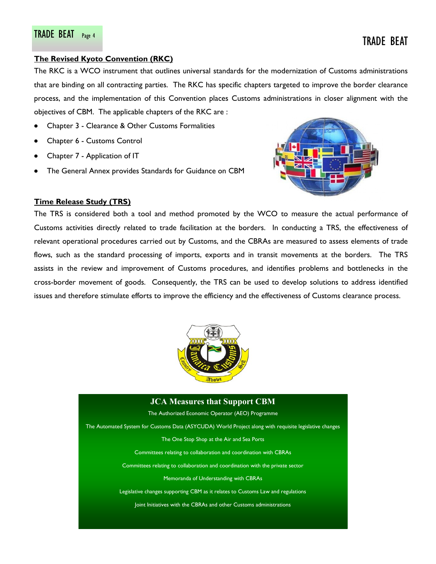#### **The Revised Kyoto Convention (RKC)**

The RKC is a WCO instrument that outlines universal standards for the modernization of Customs administrations that are binding on all contracting parties. The RKC has specific chapters targeted to improve the border clearance process, and the implementation of this Convention places Customs administrations in closer alignment with the objectives of CBM. The applicable chapters of the RKC are :

- Chapter 3 Clearance & Other Customs Formalities
- Chapter 6 Customs Control
- Chapter 7 Application of IT
- The General Annex provides Standards for Guidance on CBM



#### **Time Release Study (TRS)**

The TRS is considered both a tool and method promoted by the WCO to measure the actual performance of Customs activities directly related to trade facilitation at the borders. In conducting a TRS, the effectiveness of relevant operational procedures carried out by Customs, and the CBRAs are measured to assess elements of trade flows, such as the standard processing of imports, exports and in transit movements at the borders. The TRS assists in the review and improvement of Customs procedures, and identifies problems and bottlenecks in the cross-border movement of goods. Consequently, the TRS can be used to develop solutions to address identified issues and therefore stimulate efforts to improve the efficiency and the effectiveness of Customs clearance process.



# **JCA Measures that Support CBM** The Authorized Economic Operator (AEO) Programme The Automated System for Customs Data (ASYCUDA) World Project along with requisite legislative changes The One Stop Shop at the Air and Sea Ports Committees relating to collaboration and coordination with CBRAs Committees relating to collaboration and coordination with the private sector Memoranda of Understanding with CBRAs Legislative changes supporting CBM as it relates to Customs Law and regulations Joint Initiatives with the CBRAs and other Customs administrations